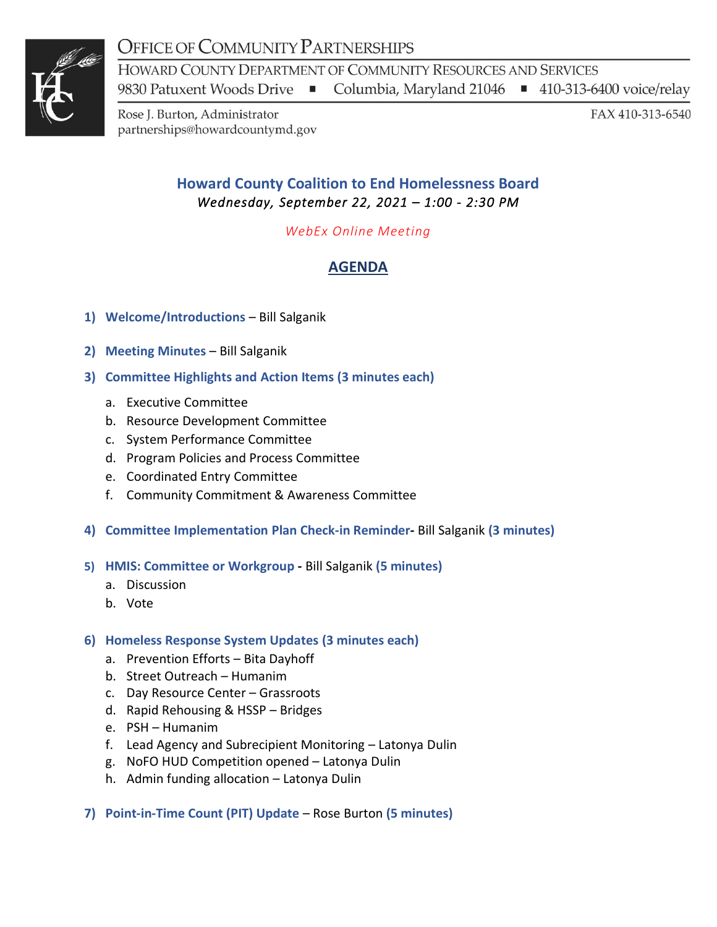# **OFFICE OF COMMUNITY PARTNERSHIPS**



HOWARD COUNTY DEPARTMENT OF COMMUNITY RESOURCES AND SERVICES

Columbia, Maryland 21046 ■ 410-313-6400 voice/relay 9830 Patuxent Woods Drive ■

Rose J. Burton, Administrator partnerships@howardcountymd.gov FAX 410-313-6540

### **Howard County Coalition to End Homelessness Board**  *Wednesday, September 22, 2021 – 1:00 - 2:30 PM*

*WebEx Online Meeting*

## **AGENDA**

- **1) Welcome/Introductions** Bill Salganik
- **2) Meeting Minutes**  Bill Salganik
- **3) Committee Highlights and Action Items (3 minutes each)**
	- a. Executive Committee
	- b. Resource Development Committee
	- c. System Performance Committee
	- d. Program Policies and Process Committee
	- e. Coordinated Entry Committee
	- f. Community Commitment & Awareness Committee
- **4) Committee Implementation Plan Check-in Reminder-** Bill Salganik **(3 minutes)**
- **5) HMIS: Committee or Workgroup -** Bill Salganik **(5 minutes)**
	- a. Discussion
	- b. Vote

#### **6) Homeless Response System Updates (3 minutes each)**

- a. Prevention Efforts Bita Dayhoff
- b. Street Outreach Humanim
- c. Day Resource Center Grassroots
- d. Rapid Rehousing & HSSP Bridges
- e. PSH Humanim
- f. Lead Agency and Subrecipient Monitoring Latonya Dulin
- g. NoFO HUD Competition opened Latonya Dulin
- h. Admin funding allocation Latonya Dulin
- **7) Point-in-Time Count (PIT) Update**  Rose Burton **(5 minutes)**